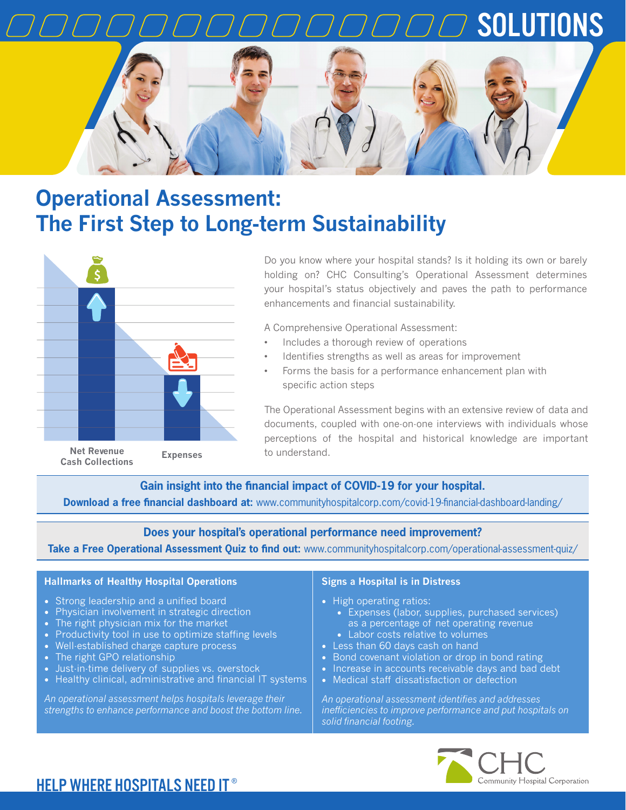

# **Operational Assessment: The First Step to Long-term Sustainability**



Do you know where your hospital stands? Is it holding its own or barely holding on? CHC Consulting's Operational Assessment determines your hospital's status objectively and paves the path to performance enhancements and financial sustainability.

A Comprehensive Operational Assessment:

- Includes a thorough review of operations
- Identifies strengths as well as areas for improvement
- Forms the basis for a performance enhancement plan with specific action steps

The Operational Assessment begins with an extensive review of data and documents, coupled with one-on-one interviews with individuals whose perceptions of the hospital and historical knowledge are important to understand.

**Gain insight into the financial impact of COVID-19 for your hospital. Download a free financial dashboard at:** www.communityhospitalcorp.com/covid-19-financial-dashboard-landing/

### **Does your hospital's operational performance need improvement?**

**Take a Free Operational Assessment Quiz to find out:** www.communityhospitalcorp.com/operational-assessment-quiz/

#### **Hallmarks of Healthy Hospital Operations**

- Strong leadership and a unified board
- Physician involvement in strategic direction
- The right physician mix for the market
- Productivity tool in use to optimize staffing levels
- Well-established charge capture process
- The right GPO relationship
- Just-in-time delivery of supplies vs. overstock<br>• Healthy clinical administrative and financial li
- Healthy clinical, administrative and financial IT systems

*An operational assessment helps hospitals leverage their strengths to enhance performance and boost the bottom line.*

#### **Signs a Hospital is in Distress**

- High operating ratios:
	- Expenses (labor, supplies, purchased services) as a percentage of net operating revenue
	- Labor costs relative to volumes
- Less than 60 days cash on hand
- Bond covenant violation or drop in bond rating
- Increase in accounts receivable days and bad debt
- Medical staff dissatisfaction or defection

*An operational assessment identifies and addresses inefficiencies to improve performance and put hospitals on solid financial footing.* 



## HELP WHERE HOSPITALS NEED IT ®